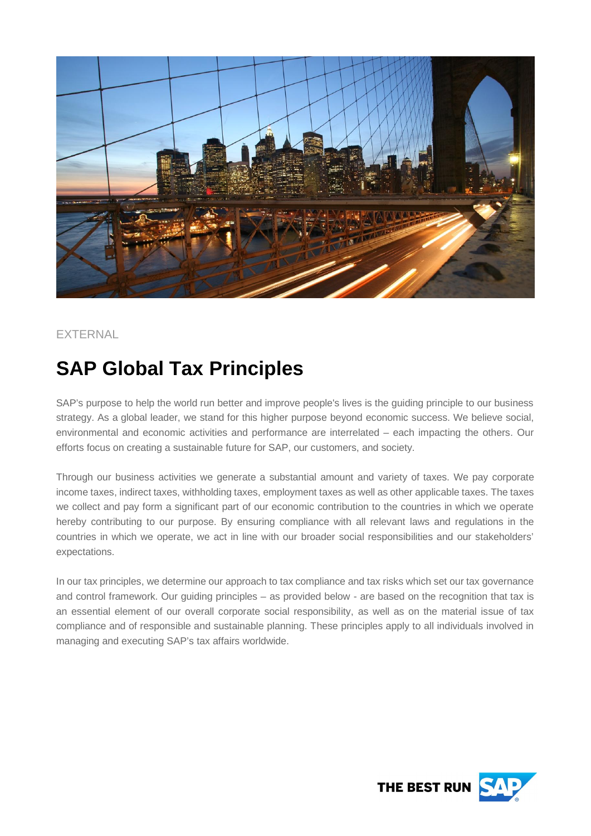

# **EXTERNAL**

# **SAP Global Tax Principles**

SAP's purpose to help the world run better and improve people's lives is the guiding principle to our business strategy. As a global leader, we stand for this higher purpose beyond economic success. We believe social, environmental and economic activities and performance are interrelated – each impacting the others. Our efforts focus on creating a sustainable future for SAP, our customers, and society.

Through our business activities we generate a substantial amount and variety of taxes. We pay corporate income taxes, indirect taxes, withholding taxes, employment taxes as well as other applicable taxes. The taxes we collect and pay form a significant part of our economic contribution to the countries in which we operate hereby contributing to our purpose. By ensuring compliance with all relevant laws and regulations in the countries in which we operate, we act in line with our broader social responsibilities and our stakeholders' expectations.

In our tax principles, we determine our approach to tax compliance and tax risks which set our tax governance and control framework. Our guiding principles – as provided below - are based on the recognition that tax is an essential element of our overall corporate social responsibility, as well as on the material issue of tax compliance and of responsible and sustainable planning. These principles apply to all individuals involved in managing and executing SAP's tax affairs worldwide.

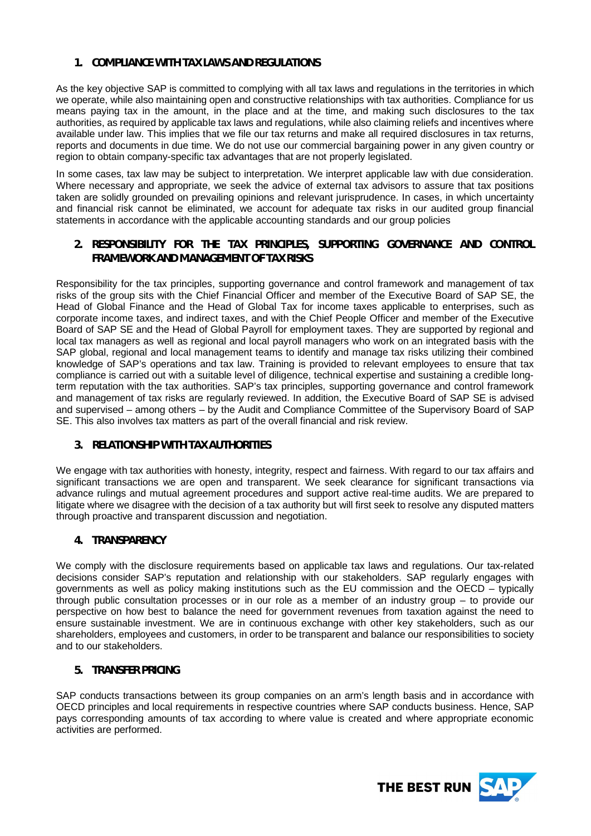# **1. COMPLIANCE WITH TAX LAWS AND REGULATIONS**

As the key objective SAP is committed to complying with all tax laws and regulations in the territories in which we operate, while also maintaining open and constructive relationships with tax authorities. Compliance for us means paying tax in the amount, in the place and at the time, and making such disclosures to the tax authorities, as required by applicable tax laws and regulations, while also claiming reliefs and incentives where available under law. This implies that we file our tax returns and make all required disclosures in tax returns, reports and documents in due time. We do not use our commercial bargaining power in any given country or region to obtain company-specific tax advantages that are not properly legislated.

In some cases, tax law may be subject to interpretation. We interpret applicable law with due consideration. Where necessary and appropriate, we seek the advice of external tax advisors to assure that tax positions taken are solidly grounded on prevailing opinions and relevant jurisprudence. In cases, in which uncertainty and financial risk cannot be eliminated, we account for adequate tax risks in our audited group financial statements in accordance with the applicable accounting standards and our group policies

**2. RESPONSIBILITY FOR THE TAX PRINCIPLES, SUPPORTING GOVERNANCE AND CONTROL FRAMEWORK AND MANAGEMENT OF TAX RISKS**

Responsibility for the tax principles, supporting governance and control framework and management of tax risks of the group sits with the Chief Financial Officer and member of the Executive Board of SAP SE, the Head of Global Finance and the Head of Global Tax for income taxes applicable to enterprises, such as corporate income taxes, and indirect taxes, and with the Chief People Officer and member of the Executive Board of SAP SE and the Head of Global Payroll for employment taxes. They are supported by regional and local tax managers as well as regional and local payroll managers who work on an integrated basis with the SAP global, regional and local management teams to identify and manage tax risks utilizing their combined knowledge of SAP's operations and tax law. Training is provided to relevant employees to ensure that tax compliance is carried out with a suitable level of diligence, technical expertise and sustaining a credible longterm reputation with the tax authorities. SAP's tax principles, supporting governance and control framework and management of tax risks are regularly reviewed. In addition, the Executive Board of SAP SE is advised and supervised – among others – by the Audit and Compliance Committee of the Supervisory Board of SAP SE. This also involves tax matters as part of the overall financial and risk review.

# **3. RELATIONSHIP WITH TAX AUTHORITIES**

We engage with tax authorities with honesty, integrity, respect and fairness. With regard to our tax affairs and significant transactions we are open and transparent. We seek clearance for significant transactions via advance rulings and mutual agreement procedures and support active real-time audits. We are prepared to litigate where we disagree with the decision of a tax authority but will first seek to resolve any disputed matters through proactive and transparent discussion and negotiation.

#### **4. TRANSPARENCY**

We comply with the disclosure requirements based on applicable tax laws and requlations. Our tax-related decisions consider SAP's reputation and relationship with our stakeholders. SAP regularly engages with governments as well as policy making institutions such as the EU commission and the OECD – typically through public consultation processes or in our role as a member of an industry group – to provide our perspective on how best to balance the need for government revenues from taxation against the need to ensure sustainable investment. We are in continuous exchange with other key stakeholders, such as our shareholders, employees and customers, in order to be transparent and balance our responsibilities to society and to our stakeholders.

# **5. TRANSFER PRICING**

SAP conducts transactions between its group companies on an arm's length basis and in accordance with OECD principles and local requirements in respective countries where SAP conducts business. Hence, SAP pays corresponding amounts of tax according to where value is created and where appropriate economic activities are performed.